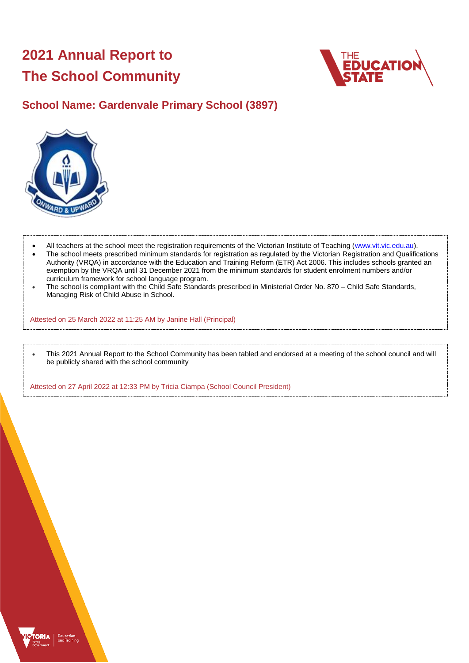# **2021 Annual Report to The School Community**



# **School Name: Gardenvale Primary School (3897)**



- All teachers at the school meet the registration requirements of the Victorian Institute of Teaching [\(www.vit.vic.edu.au\)](https://www.vit.vic.edu.au/).
- The school meets prescribed minimum standards for registration as regulated by the Victorian Registration and Qualifications Authority (VRQA) in accordance with the Education and Training Reform (ETR) Act 2006. This includes schools granted an exemption by the VRQA until 31 December 2021 from the minimum standards for student enrolment numbers and/or curriculum framework for school language program.
- The school is compliant with the Child Safe Standards prescribed in Ministerial Order No. 870 Child Safe Standards, Managing Risk of Child Abuse in School.

Attested on 25 March 2022 at 11:25 AM by Janine Hall (Principal)

 This 2021 Annual Report to the School Community has been tabled and endorsed at a meeting of the school council and will be publicly shared with the school community

Attested on 27 April 2022 at 12:33 PM by Tricia Ciampa (School Council President)

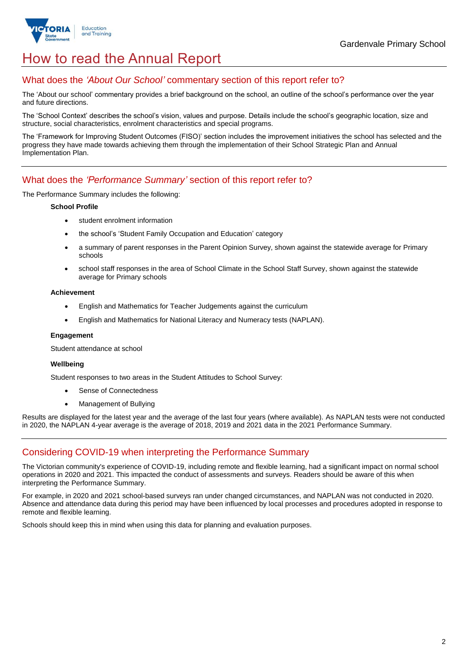

# How to read the Annual Report

## What does the *'About Our School'* commentary section of this report refer to?

The 'About our school' commentary provides a brief background on the school, an outline of the school's performance over the year and future directions.

The 'School Context' describes the school's vision, values and purpose. Details include the school's geographic location, size and structure, social characteristics, enrolment characteristics and special programs.

The 'Framework for Improving Student Outcomes (FISO)' section includes the improvement initiatives the school has selected and the progress they have made towards achieving them through the implementation of their School Strategic Plan and Annual Implementation Plan.

### What does the *'Performance Summary'* section of this report refer to?

The Performance Summary includes the following:

#### **School Profile**

- student enrolment information
- the school's 'Student Family Occupation and Education' category
- a summary of parent responses in the Parent Opinion Survey, shown against the statewide average for Primary schools
- school staff responses in the area of School Climate in the School Staff Survey, shown against the statewide average for Primary schools

#### **Achievement**

- English and Mathematics for Teacher Judgements against the curriculum
- English and Mathematics for National Literacy and Numeracy tests (NAPLAN).

#### **Engagement**

Student attendance at school

#### **Wellbeing**

Student responses to two areas in the Student Attitudes to School Survey:

- Sense of Connectedness
- Management of Bullying

Results are displayed for the latest year and the average of the last four years (where available). As NAPLAN tests were not conducted in 2020, the NAPLAN 4-year average is the average of 2018, 2019 and 2021 data in the 2021 Performance Summary.

### Considering COVID-19 when interpreting the Performance Summary

The Victorian community's experience of COVID-19, including remote and flexible learning, had a significant impact on normal school operations in 2020 and 2021. This impacted the conduct of assessments and surveys. Readers should be aware of this when interpreting the Performance Summary.

For example, in 2020 and 2021 school-based surveys ran under changed circumstances, and NAPLAN was not conducted in 2020. Absence and attendance data during this period may have been influenced by local processes and procedures adopted in response to remote and flexible learning.

Schools should keep this in mind when using this data for planning and evaluation purposes.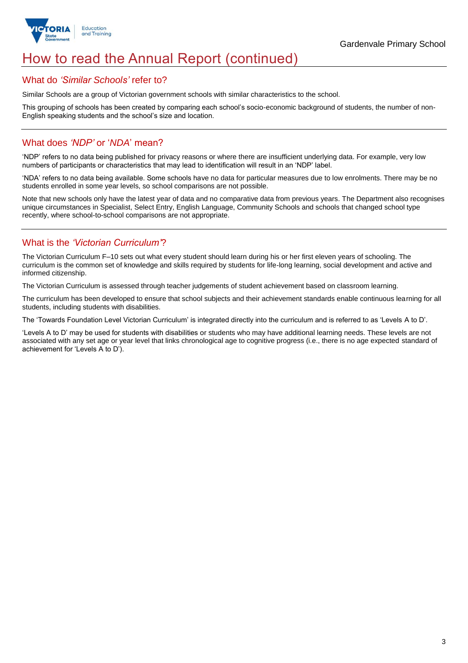

# How to read the Annual Report (continued)

### What do *'Similar Schools'* refer to?

Similar Schools are a group of Victorian government schools with similar characteristics to the school.

This grouping of schools has been created by comparing each school's socio-economic background of students, the number of non-English speaking students and the school's size and location.

## What does *'NDP'* or '*NDA*' mean?

'NDP' refers to no data being published for privacy reasons or where there are insufficient underlying data. For example, very low numbers of participants or characteristics that may lead to identification will result in an 'NDP' label.

'NDA' refers to no data being available. Some schools have no data for particular measures due to low enrolments. There may be no students enrolled in some year levels, so school comparisons are not possible.

Note that new schools only have the latest year of data and no comparative data from previous years. The Department also recognises unique circumstances in Specialist, Select Entry, English Language, Community Schools and schools that changed school type recently, where school-to-school comparisons are not appropriate.

## What is the *'Victorian Curriculum'*?

The Victorian Curriculum F–10 sets out what every student should learn during his or her first eleven years of schooling. The curriculum is the common set of knowledge and skills required by students for life-long learning, social development and active and informed citizenship.

The Victorian Curriculum is assessed through teacher judgements of student achievement based on classroom learning.

The curriculum has been developed to ensure that school subjects and their achievement standards enable continuous learning for all students, including students with disabilities.

The 'Towards Foundation Level Victorian Curriculum' is integrated directly into the curriculum and is referred to as 'Levels A to D'.

'Levels A to D' may be used for students with disabilities or students who may have additional learning needs. These levels are not associated with any set age or year level that links chronological age to cognitive progress (i.e., there is no age expected standard of achievement for 'Levels A to D').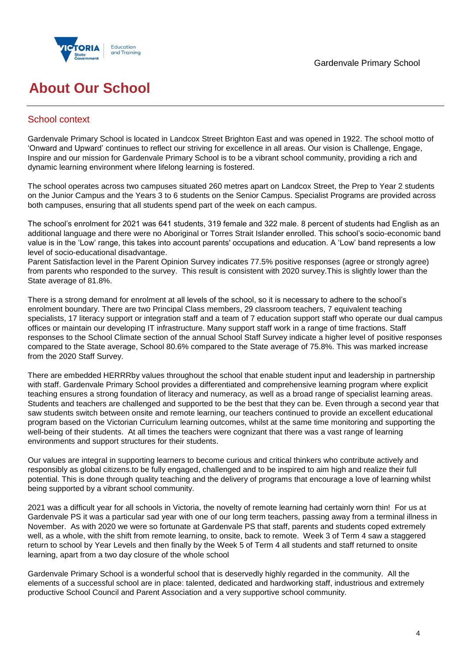

# **About Our School**

## School context

Gardenvale Primary School is located in Landcox Street Brighton East and was opened in 1922. The school motto of 'Onward and Upward' continues to reflect our striving for excellence in all areas. Our vision is Challenge, Engage, Inspire and our mission for Gardenvale Primary School is to be a vibrant school community, providing a rich and dynamic learning environment where lifelong learning is fostered.

The school operates across two campuses situated 260 metres apart on Landcox Street, the Prep to Year 2 students on the Junior Campus and the Years 3 to 6 students on the Senior Campus. Specialist Programs are provided across both campuses, ensuring that all students spend part of the week on each campus.

The school's enrolment for 2021 was 641 students, 319 female and 322 male. 8 percent of students had English as an additional language and there were no Aboriginal or Torres Strait Islander enrolled. This school's socio-economic band value is in the 'Low' range, this takes into account parents' occupations and education. A 'Low' band represents a low level of socio-educational disadvantage.

Parent Satisfaction level in the Parent Opinion Survey indicates 77.5% positive responses (agree or strongly agree) from parents who responded to the survey. This result is consistent with 2020 survey.This is slightly lower than the State average of 81.8%.

There is a strong demand for enrolment at all levels of the school, so it is necessary to adhere to the school's enrolment boundary. There are two Principal Class members, 29 classroom teachers, 7 equivalent teaching specialists, 17 literacy support or integration staff and a team of 7 education support staff who operate our dual campus offices or maintain our developing IT infrastructure. Many support staff work in a range of time fractions. Staff responses to the School Climate section of the annual School Staff Survey indicate a higher level of positive responses compared to the State average, School 80.6% compared to the State average of 75.8%. This was marked increase from the 2020 Staff Survey.

There are embedded HERRRby values throughout the school that enable student input and leadership in partnership with staff. Gardenvale Primary School provides a differentiated and comprehensive learning program where explicit teaching ensures a strong foundation of literacy and numeracy, as well as a broad range of specialist learning areas. Students and teachers are challenged and supported to be the best that they can be. Even through a second year that saw students switch between onsite and remote learning, our teachers continued to provide an excellent educational program based on the Victorian Curriculum learning outcomes, whilst at the same time monitoring and supporting the well-being of their students. At all times the teachers were cognizant that there was a vast range of learning environments and support structures for their students.

Our values are integral in supporting learners to become curious and critical thinkers who contribute actively and responsibly as global citizens.to be fully engaged, challenged and to be inspired to aim high and realize their full potential. This is done through quality teaching and the delivery of programs that encourage a love of learning whilst being supported by a vibrant school community.

2021 was a difficult year for all schools in Victoria, the novelty of remote learning had certainly worn thin! For us at Gardenvale PS it was a particular sad year with one of our long term teachers, passing away from a terminal illness in November. As with 2020 we were so fortunate at Gardenvale PS that staff, parents and students coped extremely well, as a whole, with the shift from remote learning, to onsite, back to remote. Week 3 of Term 4 saw a staggered return to school by Year Levels and then finally by the Week 5 of Term 4 all students and staff returned to onsite learning, apart from a two day closure of the whole school

Gardenvale Primary School is a wonderful school that is deservedly highly regarded in the community. All the elements of a successful school are in place: talented, dedicated and hardworking staff, industrious and extremely productive School Council and Parent Association and a very supportive school community.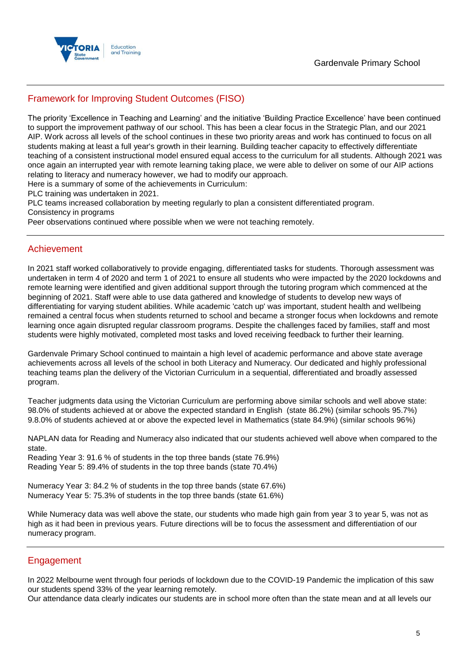

## Framework for Improving Student Outcomes (FISO)

The priority 'Excellence in Teaching and Learning' and the initiative 'Building Practice Excellence' have been continued to support the improvement pathway of our school. This has been a clear focus in the Strategic Plan, and our 2021 AIP. Work across all levels of the school continues in these two priority areas and work has continued to focus on all students making at least a full year's growth in their learning. Building teacher capacity to effectively differentiate teaching of a consistent instructional model ensured equal access to the curriculum for all students. Although 2021 was once again an interrupted year with remote learning taking place, we were able to deliver on some of our AIP actions relating to literacy and numeracy however, we had to modify our approach.

Here is a summary of some of the achievements in Curriculum:

PLC training was undertaken in 2021.

PLC teams increased collaboration by meeting regularly to plan a consistent differentiated program. Consistency in programs

Peer observations continued where possible when we were not teaching remotely.

## Achievement

In 2021 staff worked collaboratively to provide engaging, differentiated tasks for students. Thorough assessment was undertaken in term 4 of 2020 and term 1 of 2021 to ensure all students who were impacted by the 2020 lockdowns and remote learning were identified and given additional support through the tutoring program which commenced at the beginning of 2021. Staff were able to use data gathered and knowledge of students to develop new ways of differentiating for varying student abilities. While academic 'catch up' was important, student health and wellbeing remained a central focus when students returned to school and became a stronger focus when lockdowns and remote learning once again disrupted regular classroom programs. Despite the challenges faced by families, staff and most students were highly motivated, completed most tasks and loved receiving feedback to further their learning.

Gardenvale Primary School continued to maintain a high level of academic performance and above state average achievements across all levels of the school in both Literacy and Numeracy. Our dedicated and highly professional teaching teams plan the delivery of the Victorian Curriculum in a sequential, differentiated and broadly assessed program.

Teacher judgments data using the Victorian Curriculum are performing above similar schools and well above state: 98.0% of students achieved at or above the expected standard in English (state 86.2%) (similar schools 95.7%) 9.8.0% of students achieved at or above the expected level in Mathematics (state 84.9%) (similar schools 96%)

NAPLAN data for Reading and Numeracy also indicated that our students achieved well above when compared to the state.

Reading Year 3: 91.6 % of students in the top three bands (state 76.9%) Reading Year 5: 89.4% of students in the top three bands (state 70.4%)

Numeracy Year 3: 84.2 % of students in the top three bands (state 67.6%) Numeracy Year 5: 75.3% of students in the top three bands (state 61.6%)

While Numeracy data was well above the state, our students who made high gain from year 3 to year 5, was not as high as it had been in previous years. Future directions will be to focus the assessment and differentiation of our numeracy program.

### Engagement

In 2022 Melbourne went through four periods of lockdown due to the COVID-19 Pandemic the implication of this saw our students spend 33% of the year learning remotely.

Our attendance data clearly indicates our students are in school more often than the state mean and at all levels our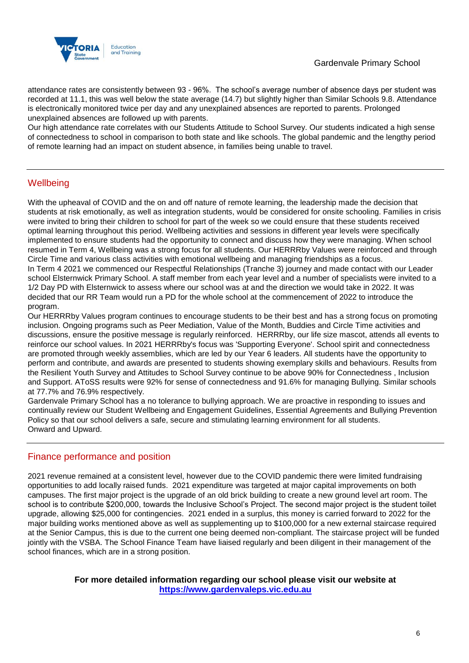

attendance rates are consistently between 93 - 96%. The school's average number of absence days per student was recorded at 11.1, this was well below the state average (14.7) but slightly higher than Similar Schools 9.8. Attendance is electronically monitored twice per day and any unexplained absences are reported to parents. Prolonged unexplained absences are followed up with parents.

Our high attendance rate correlates with our Students Attitude to School Survey. Our students indicated a high sense of connectedness to school in comparison to both state and like schools. The global pandemic and the lengthy period of remote learning had an impact on student absence, in families being unable to travel.

## **Wellbeing**

With the upheaval of COVID and the on and off nature of remote learning, the leadership made the decision that students at risk emotionally, as well as integration students, would be considered for onsite schooling. Families in crisis were invited to bring their children to school for part of the week so we could ensure that these students received optimal learning throughout this period. Wellbeing activities and sessions in different year levels were specifically implemented to ensure students had the opportunity to connect and discuss how they were managing. When school resumed in Term 4, Wellbeing was a strong focus for all students. Our HERRRby Values were reinforced and through Circle Time and various class activities with emotional wellbeing and managing friendships as a focus. In Term 4 2021 we commenced our Respectful Relationships (Tranche 3) journey and made contact with our Leader school Elsternwick Primary School. A staff member from each year level and a number of specialists were invited to a 1/2 Day PD with Elsternwick to assess where our school was at and the direction we would take in 2022. It was decided that our RR Team would run a PD for the whole school at the commencement of 2022 to introduce the program.

Our HERRRby Values program continues to encourage students to be their best and has a strong focus on promoting inclusion. Ongoing programs such as Peer Mediation, Value of the Month, Buddies and Circle Time activities and discussions, ensure the positive message is regularly reinforced. HERRRby, our life size mascot, attends all events to reinforce our school values. In 2021 HERRRby's focus was 'Supporting Everyone'. School spirit and connectedness are promoted through weekly assemblies, which are led by our Year 6 leaders. All students have the opportunity to perform and contribute, and awards are presented to students showing exemplary skills and behaviours. Results from the Resilient Youth Survey and Attitudes to School Survey continue to be above 90% for Connectedness , Inclusion and Support. AToSS results were 92% for sense of connectedness and 91.6% for managing Bullying. Similar schools at 77.7% and 76.9% respectively.

Gardenvale Primary School has a no tolerance to bullying approach. We are proactive in responding to issues and continually review our Student Wellbeing and Engagement Guidelines, Essential Agreements and Bullying Prevention Policy so that our school delivers a safe, secure and stimulating learning environment for all students. Onward and Upward.

## Finance performance and position

2021 revenue remained at a consistent level, however due to the COVID pandemic there were limited fundraising opportunities to add locally raised funds. 2021 expenditure was targeted at major capital improvements on both campuses. The first major project is the upgrade of an old brick building to create a new ground level art room. The school is to contribute \$200,000, towards the Inclusive School's Project. The second major project is the student toilet upgrade, allowing \$25,000 for contingencies. 2021 ended in a surplus, this money is carried forward to 2022 for the major building works mentioned above as well as supplementing up to \$100,000 for a new external staircase required at the Senior Campus, this is due to the current one being deemed non-compliant. The staircase project will be funded jointly with the VSBA. The School Finance Team have liaised regularly and been diligent in their management of the school finances, which are in a strong position.

### **For more detailed information regarding our school please visit our website at [https://www.gardenvaleps.vic.edu.au](https://www.gardenvaleps.vic.edu.au/)**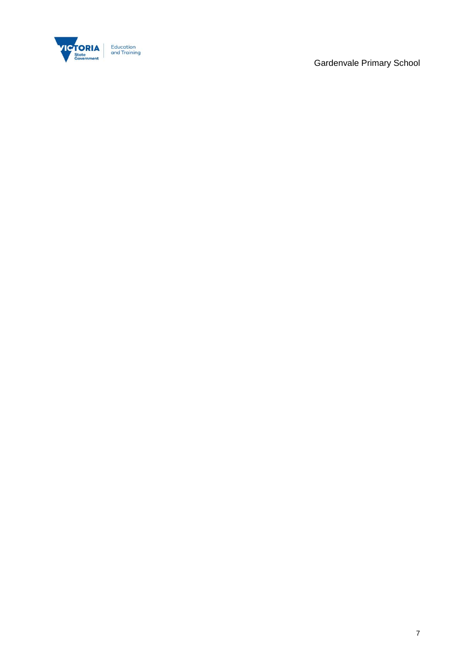

Gardenvale Primary School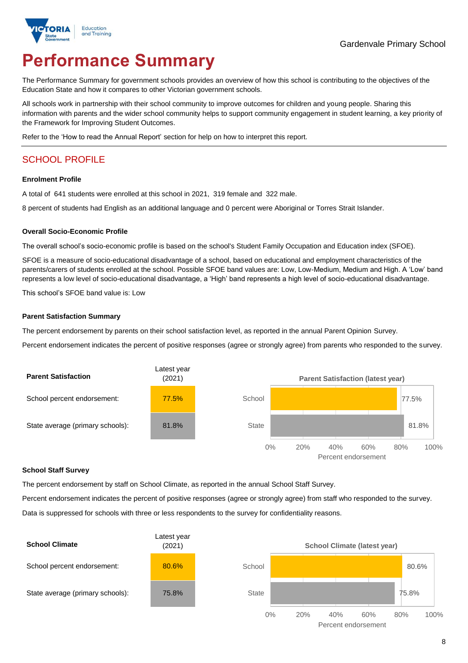

# **Performance Summary**

The Performance Summary for government schools provides an overview of how this school is contributing to the objectives of the Education State and how it compares to other Victorian government schools.

All schools work in partnership with their school community to improve outcomes for children and young people. Sharing this information with parents and the wider school community helps to support community engagement in student learning, a key priority of the Framework for Improving Student Outcomes.

Refer to the 'How to read the Annual Report' section for help on how to interpret this report.

# SCHOOL PROFILE

#### **Enrolment Profile**

A total of 641 students were enrolled at this school in 2021, 319 female and 322 male.

8 percent of students had English as an additional language and 0 percent were Aboriginal or Torres Strait Islander.

#### **Overall Socio-Economic Profile**

The overall school's socio-economic profile is based on the school's Student Family Occupation and Education index (SFOE).

SFOE is a measure of socio-educational disadvantage of a school, based on educational and employment characteristics of the parents/carers of students enrolled at the school. Possible SFOE band values are: Low, Low-Medium, Medium and High. A 'Low' band represents a low level of socio-educational disadvantage, a 'High' band represents a high level of socio-educational disadvantage.

This school's SFOE band value is: Low

#### **Parent Satisfaction Summary**

The percent endorsement by parents on their school satisfaction level, as reported in the annual Parent Opinion Survey.

Percent endorsement indicates the percent of positive responses (agree or strongly agree) from parents who responded to the survey.



#### **School Staff Survey**

The percent endorsement by staff on School Climate, as reported in the annual School Staff Survey.

Percent endorsement indicates the percent of positive responses (agree or strongly agree) from staff who responded to the survey. Data is suppressed for schools with three or less respondents to the survey for confidentiality reasons.

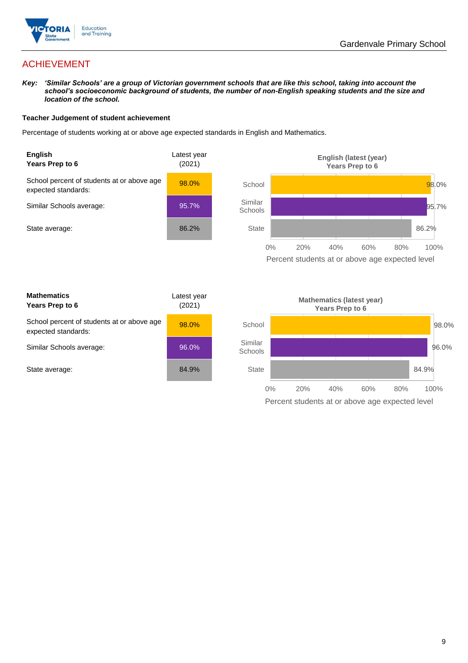

## ACHIEVEMENT

*Key: 'Similar Schools' are a group of Victorian government schools that are like this school, taking into account the school's socioeconomic background of students, the number of non-English speaking students and the size and location of the school.*

#### **Teacher Judgement of student achievement**

Percentage of students working at or above age expected standards in English and Mathematics.



Percent students at or above age expected level

| <b>Mathematics</b><br>Years Prep to 6                             | Latest year<br>(2021) |
|-------------------------------------------------------------------|-----------------------|
| School percent of students at or above age<br>expected standards: | 98.0%                 |
| Similar Schools average:                                          | 96.0%                 |
| State average:                                                    | 84.9%                 |

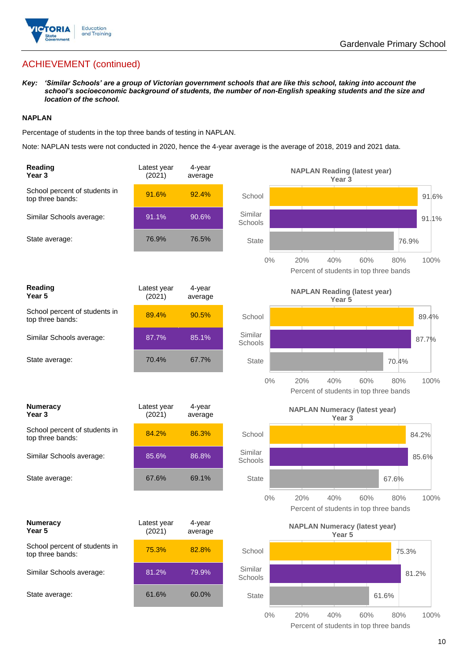

# ACHIEVEMENT (continued)

*Key: 'Similar Schools' are a group of Victorian government schools that are like this school, taking into account the school's socioeconomic background of students, the number of non-English speaking students and the size and location of the school.*

#### **NAPLAN**

Percentage of students in the top three bands of testing in NAPLAN.

Note: NAPLAN tests were not conducted in 2020, hence the 4-year average is the average of 2018, 2019 and 2021 data.

| Reading<br>Year <sub>3</sub>                      | Latest year<br>(2021) | 4-year<br>average |                    |     | <b>NAPLAN Reading (latest year)</b><br>Year <sub>3</sub>  |       |       |
|---------------------------------------------------|-----------------------|-------------------|--------------------|-----|-----------------------------------------------------------|-------|-------|
| School percent of students in<br>top three bands: | 91.6%                 | 92.4%             | School             |     |                                                           |       | 91.6% |
| Similar Schools average:                          | 91.1%                 | 90.6%             | Similar<br>Schools |     |                                                           |       | 91.1% |
| State average:                                    | 76.9%                 | 76.5%             | <b>State</b>       |     |                                                           | 76.9% |       |
|                                                   |                       |                   | $0\%$              | 20% | 40%<br>60%<br>Percent of students in top three bands      | 80%   | 100%  |
| Reading<br>Year 5                                 | Latest year<br>(2021) | 4-year<br>average |                    |     | <b>NAPLAN Reading (latest year)</b><br>Year <sub>5</sub>  |       |       |
| School percent of students in<br>top three bands: | 89.4%                 | 90.5%             | School             |     |                                                           |       | 89.4% |
| Similar Schools average:                          | 87.7%                 | 85.1%             | Similar<br>Schools |     |                                                           |       | 87.7% |
| State average:                                    | 70.4%                 | 67.7%             | <b>State</b>       |     |                                                           | 70.4% |       |
|                                                   |                       |                   | $0\%$              | 20% | 40%<br>60%<br>Percent of students in top three bands      | 80%   | 100%  |
| <b>Numeracy</b><br>Year <sub>3</sub>              | Latest year<br>(2021) | 4-year<br>average |                    |     | <b>NAPLAN Numeracy (latest year)</b><br>Year <sub>3</sub> |       |       |
| School percent of students in<br>top three bands: | 84.2%                 | 86.3%             | School             |     |                                                           |       | 84.2% |
| Similar Schools average:                          | 85.6%                 | 86.8%             | Similar<br>Schools |     |                                                           |       | 85.6% |
| State average:                                    | 67.6%                 | 69.1%             | <b>State</b>       |     |                                                           | 67.6% |       |
|                                                   |                       |                   | $0\%$              | 20% | 40%<br>60%<br>Percent of students in top three bands      | 80%   | 100%  |
| <b>Numeracy</b><br>Year 5                         | Latest year<br>(2021) | 4-year<br>average |                    |     | <b>NAPLAN Numeracy (latest year)</b><br>Year 5            |       |       |
| School percent of students in<br>top three bands: | 75.3%                 | 82.8%             | School             |     |                                                           | 75.3% |       |
| Similar Schools average:                          | 81.2%                 | 79.9%             | Similar<br>Schools |     |                                                           |       | 81.2% |
| State average:                                    | 61.6%                 | 60.0%             | <b>State</b>       |     |                                                           | 61.6% |       |
|                                                   |                       |                   | $0\%$              | 20% | 40%<br>60%                                                | 80%   | 100%  |

Percent of students in top three bands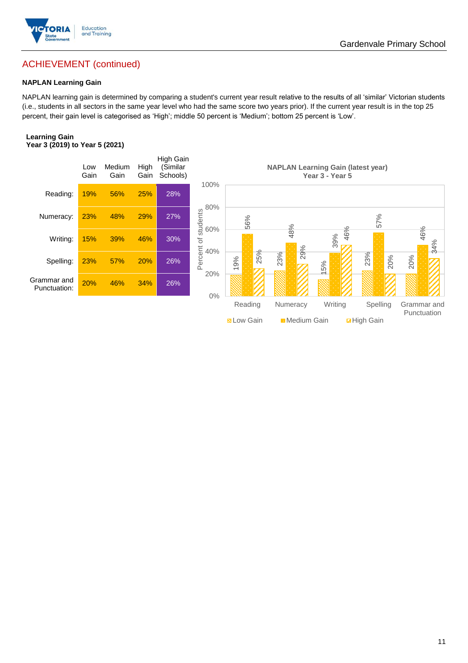

## Gardenvale Primary School

# ACHIEVEMENT (continued)

### **NAPLAN Learning Gain**

NAPLAN learning gain is determined by comparing a student's current year result relative to the results of all 'similar' Victorian students (i.e., students in all sectors in the same year level who had the same score two years prior). If the current year result is in the top 25 percent, their gain level is categorised as 'High'; middle 50 percent is 'Medium'; bottom 25 percent is 'Low'.

#### **Learning Gain Year 3 (2019) to Year 5 (2021)**



**N** Low Gain **Medium Gain High Gain**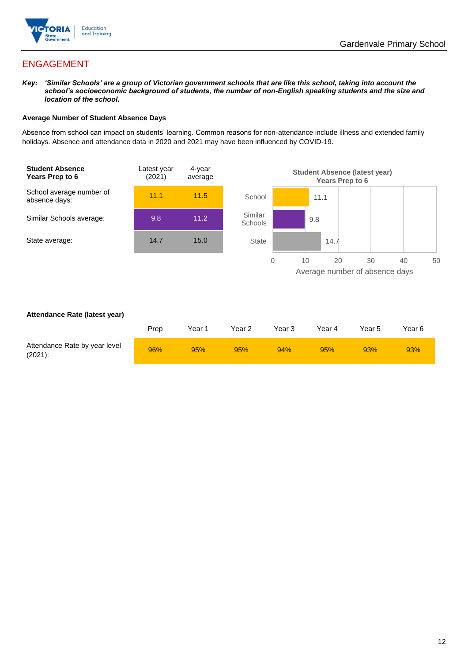

## ENGAGEMENT

*Key: 'Similar Schools' are a group of Victorian government schools that are like this school, taking into account the school's socioeconomic background of students, the number of non-English speaking students and the size and location of the school.*

#### **Average Number of Student Absence Days**

Absence from school can impact on students' learning. Common reasons for non-attendance include illness and extended family holidays. Absence and attendance data in 2020 and 2021 may have been influenced by COVID-19.



#### **Attendance Rate (latest year)**

|                                             | Prep | Year 1 | Year 2 | Year 3 | Year 4 | Year 5 | Year 6 |
|---------------------------------------------|------|--------|--------|--------|--------|--------|--------|
| Attendance Rate by year level<br>$(2021)$ : | 96%  | 95%    | 95%    | 94%    | 95%    | 93%    | 93%    |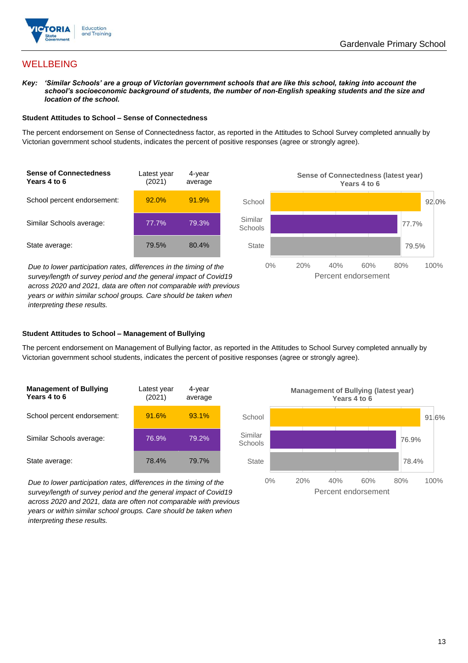

## **WELLBEING**

*Key: 'Similar Schools' are a group of Victorian government schools that are like this school, taking into account the school's socioeconomic background of students, the number of non-English speaking students and the size and location of the school.*

#### **Student Attitudes to School – Sense of Connectedness**

The percent endorsement on Sense of Connectedness factor, as reported in the Attitudes to School Survey completed annually by Victorian government school students, indicates the percent of positive responses (agree or strongly agree).



*Due to lower participation rates, differences in the timing of the survey/length of survey period and the general impact of Covid19 across 2020 and 2021, data are often not comparable with previous years or within similar school groups. Care should be taken when interpreting these results.*



#### **Student Attitudes to School – Management of Bullying**

The percent endorsement on Management of Bullying factor, as reported in the Attitudes to School Survey completed annually by Victorian government school students, indicates the percent of positive responses (agree or strongly agree).

| <b>Management of Bullying</b><br>Years 4 to 6 | Latest year<br>(2021) | 4-year<br>average |  |
|-----------------------------------------------|-----------------------|-------------------|--|
| School percent endorsement:                   | 91.6%                 | 93.1%             |  |
| Similar Schools average:                      | 76.9%                 | 79.2%             |  |
| State average:                                | 78.4%                 | 79.7%             |  |

*Due to lower participation rates, differences in the timing of the survey/length of survey period and the general impact of Covid19 across 2020 and 2021, data are often not comparable with previous years or within similar school groups. Care should be taken when interpreting these results.*

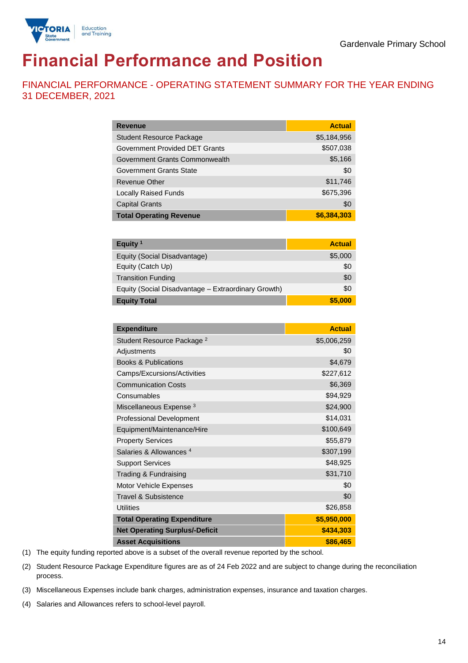

# **Financial Performance and Position**

FINANCIAL PERFORMANCE - OPERATING STATEMENT SUMMARY FOR THE YEAR ENDING 31 DECEMBER, 2021

| <b>Revenue</b>                  | <b>Actual</b> |
|---------------------------------|---------------|
| <b>Student Resource Package</b> | \$5,184,956   |
| Government Provided DET Grants  | \$507,038     |
| Government Grants Commonwealth  | \$5,166       |
| Government Grants State         | \$0           |
| <b>Revenue Other</b>            | \$11,746      |
| <b>Locally Raised Funds</b>     | \$675,396     |
| <b>Capital Grants</b>           | \$0           |
| <b>Total Operating Revenue</b>  | \$6,384,303   |

| Equity <sup>1</sup>                                 | <b>Actual</b> |
|-----------------------------------------------------|---------------|
| Equity (Social Disadvantage)                        | \$5,000       |
| Equity (Catch Up)                                   | \$0           |
| <b>Transition Funding</b>                           | \$0           |
| Equity (Social Disadvantage - Extraordinary Growth) | \$0           |
| <b>Equity Total</b>                                 | \$5,000       |

| <b>Expenditure</b>                    | <b>Actual</b> |
|---------------------------------------|---------------|
| Student Resource Package <sup>2</sup> | \$5,006,259   |
| Adjustments                           | \$0           |
| <b>Books &amp; Publications</b>       | \$4,679       |
| Camps/Excursions/Activities           | \$227,612     |
| <b>Communication Costs</b>            | \$6,369       |
| Consumables                           | \$94,929      |
| Miscellaneous Expense <sup>3</sup>    | \$24,900      |
| <b>Professional Development</b>       | \$14,031      |
| Equipment/Maintenance/Hire            | \$100,649     |
| <b>Property Services</b>              | \$55,879      |
| Salaries & Allowances <sup>4</sup>    | \$307,199     |
| <b>Support Services</b>               | \$48,925      |
| Trading & Fundraising                 | \$31,710      |
| Motor Vehicle Expenses                | \$0           |
| Travel & Subsistence                  | \$0           |
| <b>Utilities</b>                      | \$26,858      |
| <b>Total Operating Expenditure</b>    | \$5,950,000   |
| <b>Net Operating Surplus/-Deficit</b> | \$434,303     |
| <b>Asset Acquisitions</b>             | \$86,465      |

(1) The equity funding reported above is a subset of the overall revenue reported by the school.

(2) Student Resource Package Expenditure figures are as of 24 Feb 2022 and are subject to change during the reconciliation process.

(3) Miscellaneous Expenses include bank charges, administration expenses, insurance and taxation charges.

(4) Salaries and Allowances refers to school-level payroll.